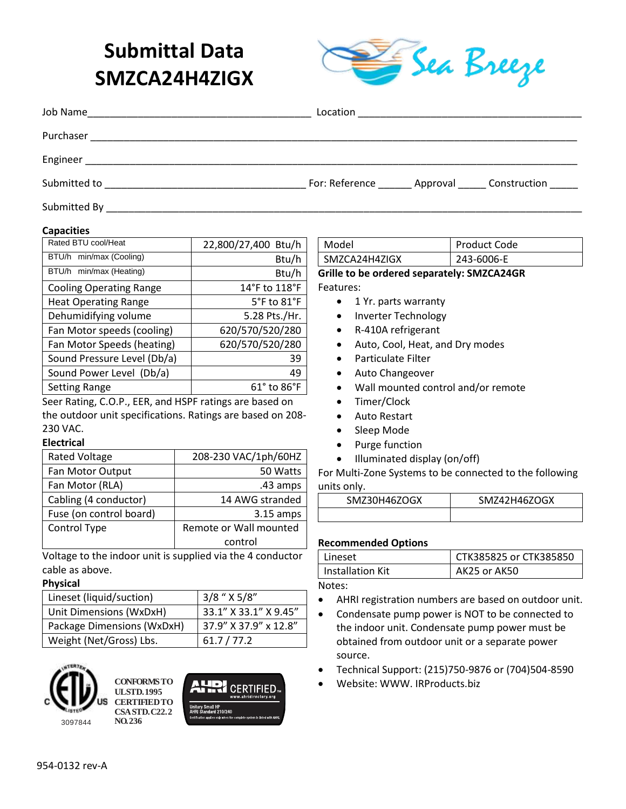# **Submittal Data SMZCA24H4ZIGX**



| Job Name                                                         | Location |                                                     |
|------------------------------------------------------------------|----------|-----------------------------------------------------|
|                                                                  |          |                                                     |
| Engineer<br><u> 1980 - Johann Barn, fransk politik (f. 1980)</u> |          |                                                     |
| Submitted to                                                     |          | For: Reference _______ Approval ______ Construction |
| Submitted By                                                     |          |                                                     |

#### **Capacities**

| Rated BTU cool/Heat            | 22,800/27,400 Btu/h            |
|--------------------------------|--------------------------------|
| BTU/h min/max (Cooling)        | Btu/h                          |
| BTU/h min/max (Heating)        | Btu/h                          |
| <b>Cooling Operating Range</b> | 14°F to 118°F                  |
| <b>Heat Operating Range</b>    | 5°F to 81°F                    |
| Dehumidifying volume           | 5.28 Pts./Hr.                  |
| Fan Motor speeds (cooling)     | 620/570/520/280                |
| Fan Motor Speeds (heating)     | 620/570/520/280                |
| Sound Pressure Level (Db/a)    | 39                             |
| Sound Power Level (Db/a)       | 49                             |
| <b>Setting Range</b>           | $61^{\circ}$ to $86^{\circ}$ F |
|                                |                                |

Seer Rating, C.O.P., EER, and HSPF ratings are based on the outdoor unit specifications. Ratings are based on 208- 230 VAC.

#### **Electrical**

| <b>Rated Voltage</b>    | 208-230 VAC/1ph/60HZ   |
|-------------------------|------------------------|
| Fan Motor Output        | 50 Watts               |
| Fan Motor (RLA)         | .43 amps               |
| Cabling (4 conductor)   | 14 AWG stranded        |
| Fuse (on control board) | $3.15$ amps            |
| Control Type            | Remote or Wall mounted |
|                         | control                |

Voltage to the indoor unit is supplied via the 4 conductor cable as above.

#### **Physical**

| Lineset (liquid/suction)   | $3/8$ " $X 5/8$ "     |
|----------------------------|-----------------------|
| Unit Dimensions (WxDxH)    | 33.1" X 33.1" X 9.45" |
| Package Dimensions (WxDxH) | 37.9" X 37.9" x 12.8" |
| Weight (Net/Gross) Lbs.    | 61.7 / 77.2           |







Model Product Code SMZCA24H4ZIGX | 243-6006-E **Grille to be ordered separately: SMZCA24GR**

Features:

- 1 Yr. parts warranty
- Inverter Technology
- R-410A refrigerant
- Auto, Cool, Heat, and Dry modes
- Particulate Filter
- Auto Changeover
- Wall mounted control and/or remote
- Timer/Clock
- Auto Restart
- Sleep Mode
- Purge function
- Illuminated display (on/off)

For Multi-Zone Systems to be connected to the following units only.

| SMZ30H46ZOGX | SMZ42H46ZOGX |
|--------------|--------------|
|              |              |

#### **Recommended Options**

| I Lineset          | l CTK385825 or CTK385850 |
|--------------------|--------------------------|
| l Installation Kit | AK25 or AK50             |

Notes:

- AHRI registration numbers are based on outdoor unit.
- Condensate pump power is NOT to be connected to the indoor unit. Condensate pump power must be obtained from outdoor unit or a separate power source.
- Technical Support: (215)750-9876 or (704)504-8590
- Website: WWW. IRProducts.biz